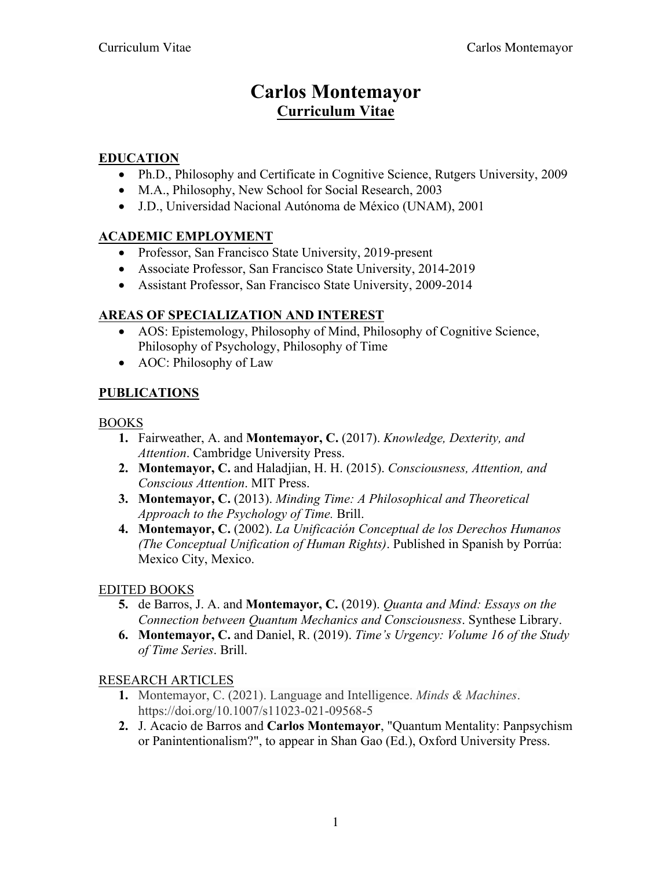# **Carlos Montemayor Curriculum Vitae**

## **EDUCATION**

- Ph.D., Philosophy and Certificate in Cognitive Science, Rutgers University, 2009
- M.A., Philosophy, New School for Social Research, 2003
- J.D., Universidad Nacional Autónoma de México (UNAM), 2001

#### **ACADEMIC EMPLOYMENT**

- Professor, San Francisco State University, 2019-present
- Associate Professor, San Francisco State University, 2014-2019
- Assistant Professor, San Francisco State University, 2009-2014

#### **AREAS OF SPECIALIZATION AND INTEREST**

- AOS: Epistemology, Philosophy of Mind, Philosophy of Cognitive Science, Philosophy of Psychology, Philosophy of Time
- AOC: Philosophy of Law

## **PUBLICATIONS**

#### BOOKS

- **1.** Fairweather, A. and **Montemayor, C.** (2017). *Knowledge, Dexterity, and Attention*. Cambridge University Press.
- **2. Montemayor, C.** and Haladjian, H. H. (2015). *Consciousness, Attention, and Conscious Attention*. MIT Press.
- **3. Montemayor, C.** (2013). *Minding Time: A Philosophical and Theoretical Approach to the Psychology of Time.* Brill.
- **4. Montemayor, C.** (2002). *La Unificación Conceptual de los Derechos Humanos (The Conceptual Unification of Human Rights)*. Published in Spanish by Porrúa: Mexico City, Mexico.

#### EDITED BOOKS

- **5.** de Barros, J. A. and **Montemayor, C.** (2019). *Quanta and Mind: Essays on the Connection between Quantum Mechanics and Consciousness*. Synthese Library.
- **6. Montemayor, C.** and Daniel, R. (2019). *Time's Urgency: Volume 16 of the Study of Time Series*. Brill.

#### RESEARCH ARTICLES

- **1.** Montemayor, C. (2021). Language and Intelligence. *Minds & Machines*. <https://doi.org/10.1007/s11023-021-09568-5>
- **2.** J. Acacio de Barros and **Carlos Montemayor**, "Quantum Mentality: Panpsychism or Panintentionalism?", to appear in Shan Gao (Ed.), Oxford University Press.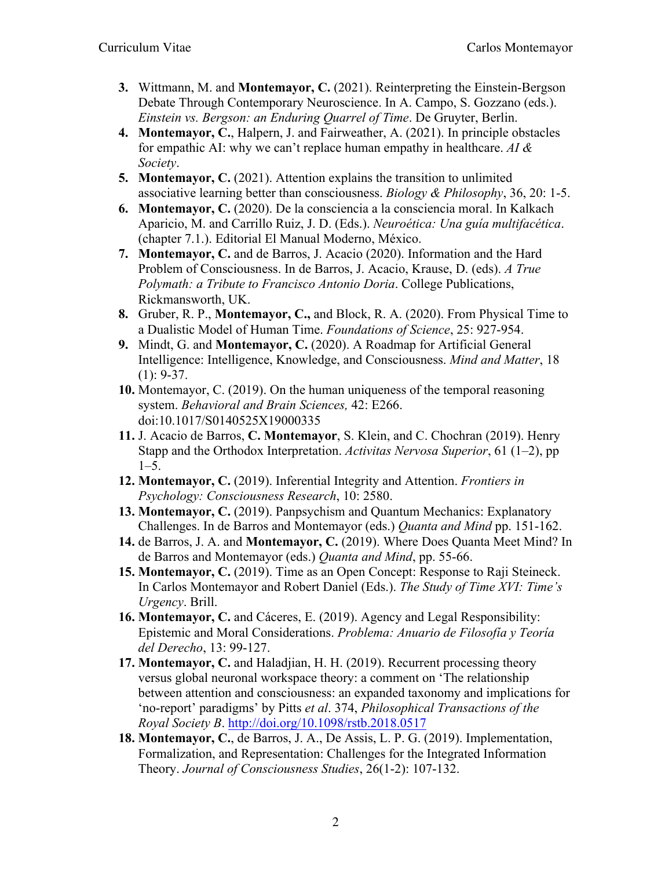- **3.** Wittmann, M. and **Montemayor, C.** (2021). Reinterpreting the Einstein-Bergson Debate Through Contemporary Neuroscience. In A. Campo, S. Gozzano (eds.). *Einstein vs. Bergson: an Enduring Quarrel of Time*. De Gruyter, Berlin.
- **4. Montemayor, C.**, Halpern, J. and Fairweather, A. (2021). In principle obstacles for empathic AI: why we can't replace human empathy in healthcare. *AI & Society*.
- **5. Montemayor, C.** (2021). Attention explains the transition to unlimited associative learning better than consciousness. *Biology & Philosophy*, 36, 20: 1-5.
- **6. Montemayor, C.** (2020). De la consciencia a la consciencia moral. In Kalkach Aparicio, M. and Carrillo Ruiz, J. D. (Eds.). *Neuroética: Una guía multifacética*. (chapter 7.1.). Editorial El Manual Moderno, México.
- **7. Montemayor, C.** and de Barros, J. Acacio (2020). Information and the Hard Problem of Consciousness. In de Barros, J. Acacio, Krause, D. (eds). *A True Polymath: a Tribute to Francisco Antonio Doria*. College Publications, Rickmansworth, UK.
- **8.** Gruber, R. P., **Montemayor, C.,** and Block, R. A. (2020). From Physical Time to a Dualistic Model of Human Time. *Foundations of Science*, 25: 927-954.
- **9.** Mindt, G. and **Montemayor, C.** (2020). A Roadmap for Artificial General Intelligence: Intelligence, Knowledge, and Consciousness. *Mind and Matter*, 18  $(1): 9-37.$
- **10.** Montemayor, C. (2019). On the human uniqueness of the temporal reasoning system. *Behavioral and Brain Sciences,* 42: E266. doi:10.1017/S0140525X19000335
- **11.** J. Acacio de Barros, **C. Montemayor**, S. Klein, and C. Chochran (2019). Henry Stapp and the Orthodox Interpretation. *Activitas Nervosa Superior*, 61 (1–2), pp  $1-5$ .
- **12. Montemayor, C.** (2019). Inferential Integrity and Attention. *Frontiers in Psychology: Consciousness Research*, 10: 2580.
- **13. Montemayor, C.** (2019). Panpsychism and Quantum Mechanics: Explanatory Challenges. In de Barros and Montemayor (eds.) *Quanta and Mind* pp. 151-162.
- **14.** de Barros, J. A. and **Montemayor, C.** (2019). Where Does Quanta Meet Mind? In de Barros and Montemayor (eds.) *Quanta and Mind*, pp. 55-66.
- **15. Montemayor, C.** (2019). Time as an Open Concept: Response to Raji Steineck. In Carlos Montemayor and Robert Daniel (Eds.). *The Study of Time XVI: Time's Urgency*. Brill.
- **16. Montemayor, C.** and Cáceres, E. (2019). Agency and Legal Responsibility: Epistemic and Moral Considerations. *Problema: Anuario de Filosofía y Teoría del Derecho*, 13: 99-127.
- **17. Montemayor, C.** and Haladjian, H. H. (2019). Recurrent processing theory versus global neuronal workspace theory: a comment on 'The relationship between attention and consciousness: an expanded taxonomy and implications for 'no-report' paradigms' by Pitts *et al*. 374, *Philosophical Transactions of the Royal Society B*. <http://doi.org/10.1098/rstb.2018.0517>
- **18. Montemayor, C.**, de Barros, J. A., De Assis, L. P. G. (2019). Implementation, Formalization, and Representation: Challenges for the Integrated Information Theory. *Journal of Consciousness Studies*, 26(1-2): 107-132.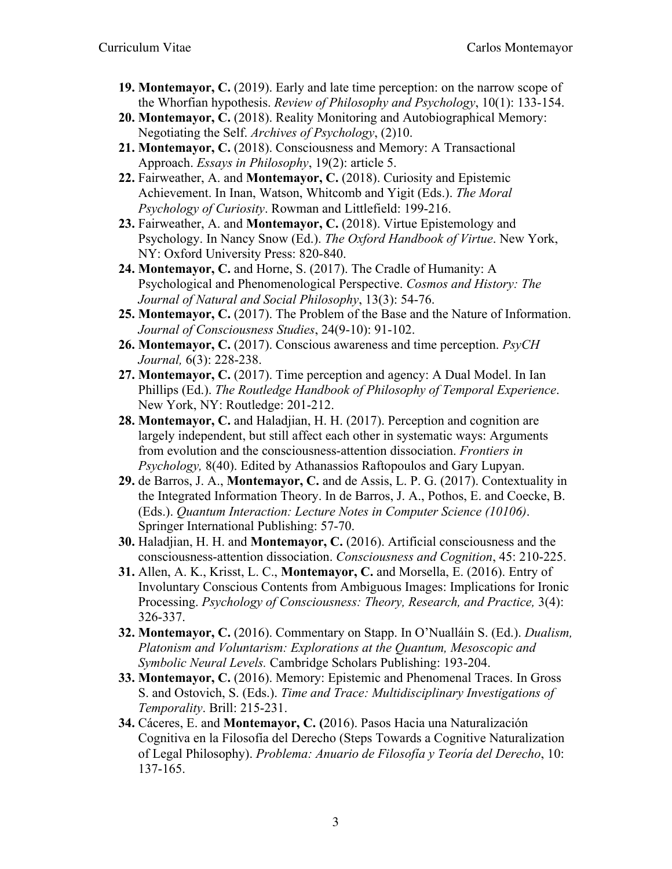- **19. Montemayor, C.** (2019). Early and late time perception: on the narrow scope of the Whorfian hypothesis. *Review of Philosophy and Psychology*, 10(1): 133-154.
- **20. Montemayor, C.** (2018). Reality Monitoring and Autobiographical Memory: Negotiating the Self. *Archives of Psychology*, (2)10.
- 21. Montemayor, C. (2018). Consciousness and Memory: A Transactional Approach. *Essays in Philosophy*, 19(2): article 5.
- **22.** Fairweather, A. and **Montemayor, C.** (2018). Curiosity and Epistemic Achievement. In Inan, Watson, Whitcomb and Yigit (Eds.). *The Moral Psychology of Curiosity*. Rowman and Littlefield: 199-216.
- **23.** Fairweather, A. and **Montemayor, C.** (2018). Virtue Epistemology and Psychology. In Nancy Snow (Ed.). *The Oxford Handbook of Virtue*. New York, NY: Oxford University Press: 820-840.
- **24. Montemayor, C.** and Horne, S. (2017). The Cradle of Humanity: A Psychological and Phenomenological Perspective. *Cosmos and History: The Journal of Natural and Social Philosophy*, 13(3): 54-76.
- **25. Montemayor, C.** (2017). The Problem of the Base and the Nature of Information. *Journal of Consciousness Studies*, 24(9-10): 91-102.
- **26. Montemayor, C.** (2017). Conscious awareness and time perception. *PsyCH Journal,* 6(3): 228-238.
- 27. Montemayor, C. (2017). Time perception and agency: A Dual Model. In Ian Phillips (Ed.). *The Routledge Handbook of Philosophy of Temporal Experience*. New York, NY: Routledge: 201-212.
- **28. Montemayor, C.** and Haladjian, H. H. (2017). Perception and cognition are largely independent, but still affect each other in systematic ways: Arguments from evolution and the consciousness-attention dissociation. *Frontiers in Psychology,* 8(40). Edited by Athanassios Raftopoulos and Gary Lupyan.
- **29.** de Barros, J. A., **Montemayor, C.** and de Assis, L. P. G. (2017). Contextuality in the Integrated Information Theory. In de Barros, J. A., Pothos, E. and Coecke, B. (Eds.). *Quantum Interaction: Lecture Notes in Computer Science (10106)*. Springer International Publishing: 57-70.
- **30.** Haladjian, H. H. and **Montemayor, C.** (2016). Artificial consciousness and the consciousness-attention dissociation. *Consciousness and Cognition*, 45: 210-225.
- **31.** Allen, A. K., Krisst, L. C., **Montemayor, C.** and Morsella, E. (2016). Entry of Involuntary Conscious Contents from Ambiguous Images: Implications for Ironic Processing. *Psychology of Consciousness: Theory, Research, and Practice,* 3(4): 326-337.
- **32. Montemayor, C.** (2016). Commentary on Stapp. In O'Nualláin S. (Ed.). *Dualism, Platonism and Voluntarism: Explorations at the Quantum, Mesoscopic and Symbolic Neural Levels.* Cambridge Scholars Publishing: 193-204.
- **33. Montemayor, C.** (2016). Memory: Epistemic and Phenomenal Traces. In Gross S. and Ostovich, S. (Eds.). *Time and Trace: Multidisciplinary Investigations of Temporality*. Brill: 215-231.
- **34.** Cáceres, E. and **Montemayor, C. (**2016). Pasos Hacia una Naturalización Cognitiva en la Filosofía del Derecho (Steps Towards a Cognitive Naturalization of Legal Philosophy). *Problema: Anuario de Filosofía y Teoría del Derecho*, 10: 137-165.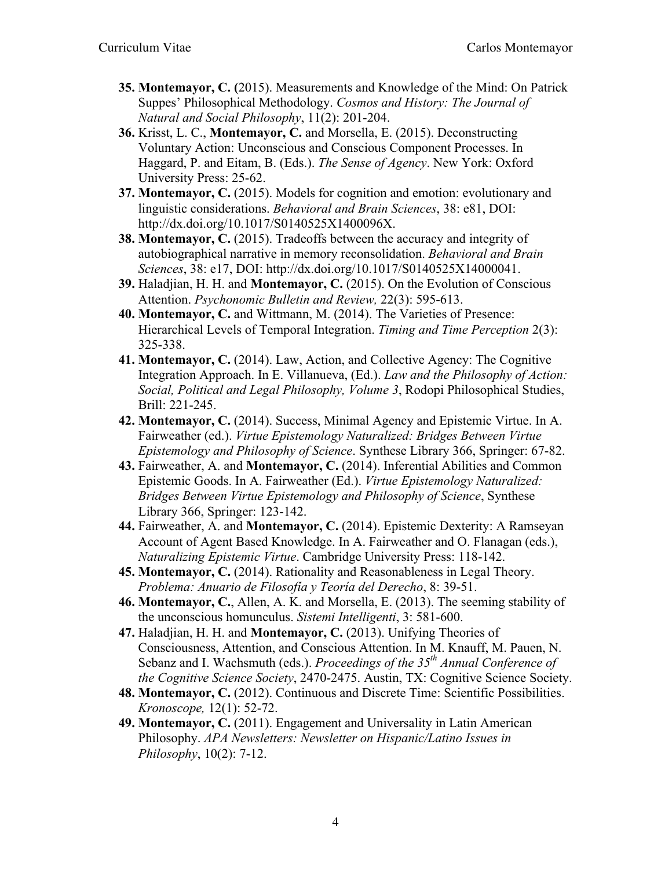- **35. Montemayor, C. (**2015). Measurements and Knowledge of the Mind: On Patrick Suppes' Philosophical Methodology. *Cosmos and History: The Journal of Natural and Social Philosophy*, 11(2): 201-204.
- **36.** Krisst, L. C., **Montemayor, C.** and Morsella, E. (2015). Deconstructing Voluntary Action: Unconscious and Conscious Component Processes. In Haggard, P. and Eitam, B. (Eds.). *The Sense of Agency*. New York: Oxford University Press: 25-62.
- **37. Montemayor, C.** (2015). Models for cognition and emotion: evolutionary and linguistic considerations. *Behavioral and Brain Sciences*, 38: e81, DOI: [http://dx.doi.org/10.1017/S0140525X1400096X.](http://dx.doi.org/10.1017/S0140525X1400096X)
- **38. Montemayor, C.** (2015). Tradeoffs between the accuracy and integrity of autobiographical narrative in memory reconsolidation. *Behavioral and Brain Sciences*, 38: e17, DOI: [http://dx.doi.org/10.1017/S0140525X14000041.](http://dx.doi.org/10.1017/S0140525X14000041)
- **39.** Haladjian, H. H. and **Montemayor, C.** (2015). On the Evolution of Conscious Attention. *Psychonomic Bulletin and Review,* 22(3): 595-613.
- **40. Montemayor, C.** and Wittmann, M. (2014). The Varieties of Presence: Hierarchical Levels of Temporal Integration. *Timing and Time Perception* 2(3): 325-338.
- **41. Montemayor, C.** (2014). Law, Action, and Collective Agency: The Cognitive Integration Approach. In E. Villanueva, (Ed.). *Law and the Philosophy of Action: Social, Political and Legal Philosophy, Volume 3*, Rodopi Philosophical Studies, Brill: 221-245.
- **42. Montemayor, C.** (2014). Success, Minimal Agency and Epistemic Virtue. In A. Fairweather (ed.). *Virtue Epistemology Naturalized: Bridges Between Virtue Epistemology and Philosophy of Science*. Synthese Library 366, Springer: 67-82.
- **43.** Fairweather, A. and **Montemayor, C.** (2014). Inferential Abilities and Common Epistemic Goods. In A. Fairweather (Ed.). *Virtue Epistemology Naturalized: Bridges Between Virtue Epistemology and Philosophy of Science*, Synthese Library 366, Springer: 123-142.
- **44.** Fairweather, A. and **Montemayor, C.** (2014). Epistemic Dexterity: A Ramseyan Account of Agent Based Knowledge. In A. Fairweather and O. Flanagan (eds.), *Naturalizing Epistemic Virtue*. Cambridge University Press: 118-142.
- **45. Montemayor, C.** (2014). Rationality and Reasonableness in Legal Theory. *Problema: Anuario de Filosofía y Teoría del Derecho*, 8: 39-51.
- **46. Montemayor, C.**, Allen, A. K. and Morsella, E. (2013). The seeming stability of the unconscious homunculus. *Sistemi Intelligenti*, 3: 581-600.
- **47.** Haladjian, H. H. and **Montemayor, C.** (2013). Unifying Theories of Consciousness, Attention, and Conscious Attention. In M. Knauff, M. Pauen, N. Sebanz and I. Wachsmuth (eds.). *Proceedings of the 35th Annual Conference of the Cognitive Science Society*, 2470-2475. Austin, TX: Cognitive Science Society.
- **48. Montemayor, C.** (2012). Continuous and Discrete Time: Scientific Possibilities. *Kronoscope,* 12(1): 52-72.
- **49. Montemayor, C.** (2011). Engagement and Universality in Latin American Philosophy. *APA Newsletters: Newsletter on Hispanic/Latino Issues in Philosophy*, 10(2): 7-12.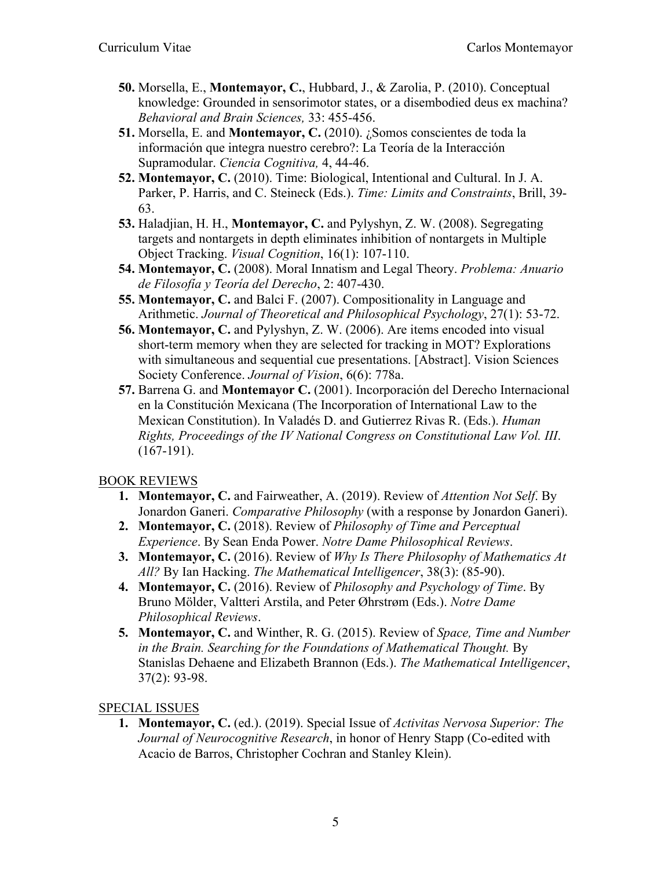- **50.** Morsella, E., **Montemayor, C.**, Hubbard, J., & Zarolia, P. (2010). Conceptual knowledge: Grounded in sensorimotor states, or a disembodied deus ex machina? *Behavioral and Brain Sciences,* 33: 455-456.
- **51.** Morsella, E. and **Montemayor, C.** (2010). ¿Somos conscientes de toda la información que integra nuestro cerebro?: La Teoría de la Interacción Supramodular. *Ciencia Cognitiva,* 4, 44-46.
- **52. Montemayor, C.** (2010). Time: Biological, Intentional and Cultural. In J. A. Parker, P. Harris, and C. Steineck (Eds.). *Time: Limits and Constraints*, Brill, 39- 63.
- **53.** Haladjian, H. H., **Montemayor, C.** and Pylyshyn, Z. W. (2008). Segregating targets and nontargets in depth eliminates inhibition of nontargets in Multiple Object Tracking. *Visual Cognition*, 16(1): 107-110.
- **54. Montemayor, C.** (2008). Moral Innatism and Legal Theory. *Problema: Anuario de Filosofía y Teoría del Derecho*, 2: 407-430.
- **55. Montemayor, C.** and Balci F. (2007). Compositionality in Language and Arithmetic. *Journal of Theoretical and Philosophical Psychology*, 27(1): 53-72.
- **56. Montemayor, C.** and Pylyshyn, Z. W. (2006). Are items encoded into visual short-term memory when they are selected for tracking in MOT? Explorations with simultaneous and sequential cue presentations. [Abstract]. Vision Sciences Society Conference. *Journal of Vision*, 6(6): 778a.
- **57.** Barrena G. and **Montemayor C.** (2001). Incorporación del Derecho Internacional en la Constitución Mexicana (The Incorporation of International Law to the Mexican Constitution). In Valadés D. and Gutierrez Rivas R. (Eds.). *Human Rights, Proceedings of the IV National Congress on Constitutional Law Vol. III*.  $(167-191)$ .

## BOOK REVIEWS

- **1. Montemayor, C.** and Fairweather, A. (2019). Review of *Attention Not Self*. By Jonardon Ganeri. *Comparative Philosophy* (with a response by Jonardon Ganeri).
- **2. Montemayor, C.** (2018). Review of *Philosophy of Time and Perceptual Experience*. By Sean Enda Power. *Notre Dame Philosophical Reviews*.
- **3. Montemayor, C.** (2016). Review of *Why Is There Philosophy of Mathematics At All?* By Ian Hacking. *The Mathematical Intelligencer*, 38(3): (85-90).
- **4. Montemayor, C.** (2016). Review of *Philosophy and Psychology of Time*. By Bruno Mölder, Valtteri Arstila, and Peter Øhrstrøm (Eds.). *Notre Dame Philosophical Reviews*.
- **5. Montemayor, C.** and Winther, R. G. (2015). Review of *Space, Time and Number in the Brain. Searching for the Foundations of Mathematical Thought.* By Stanislas Dehaene and Elizabeth Brannon (Eds.). *The Mathematical Intelligencer*, 37(2): 93-98.

# SPECIAL ISSUES

**1. Montemayor, C.** (ed.). (2019). Special Issue of *Activitas Nervosa Superior: The Journal of Neurocognitive Research*, in honor of Henry Stapp (Co-edited with Acacio de Barros, Christopher Cochran and Stanley Klein).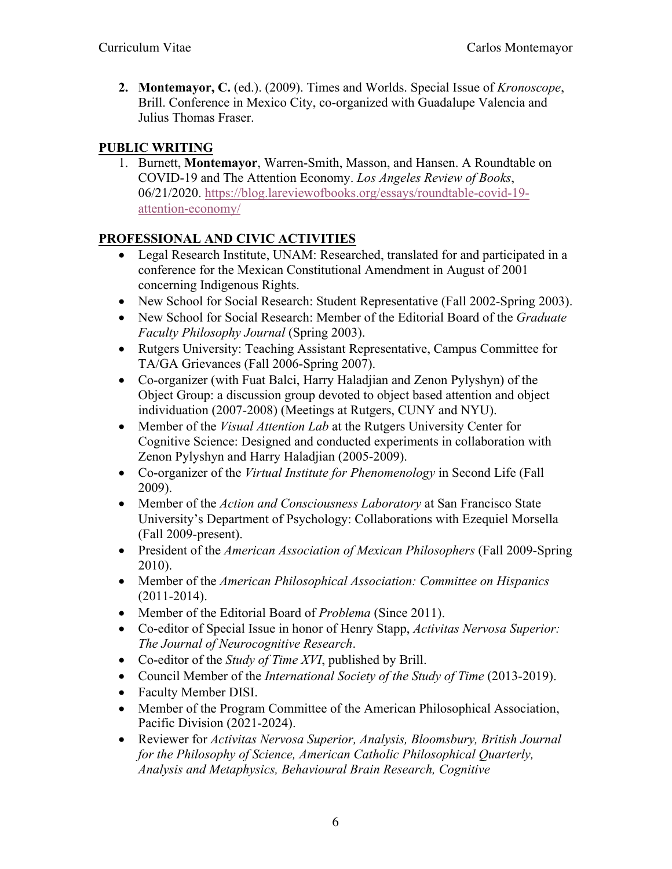**2. Montemayor, C.** (ed.). (2009). Times and Worlds. Special Issue of *Kronoscope*, Brill. Conference in Mexico City, co-organized with Guadalupe Valencia and Julius Thomas Fraser.

# **PUBLIC WRITING**

1. Burnett, **Montemayor**, Warren-Smith, Masson, and Hansen. A Roundtable on COVID-19 and The Attention Economy. *Los Angeles Review of Books*, 06/21/2020. <https://blog.lareviewofbooks.org/essays/roundtable-covid-19> attention-economy/

# **PROFESSIONAL AND CIVIC ACTIVITIES**

- Legal Research Institute, UNAM: Researched, translated for and participated in a conference for the Mexican Constitutional Amendment in August of 2001 concerning Indigenous Rights.
- New School for Social Research: Student Representative (Fall 2002-Spring 2003).
- New School for Social Research: Member of the Editorial Board of the *Graduate Faculty Philosophy Journal* (Spring 2003).
- Rutgers University: Teaching Assistant Representative, Campus Committee for TA/GA Grievances (Fall 2006-Spring 2007).
- Co-organizer (with Fuat Balci, Harry Haladjian and Zenon Pylyshyn) of the Object Group: a discussion group devoted to object based attention and object individuation (2007-2008) (Meetings at Rutgers, CUNY and NYU).
- Member of the *Visual Attention Lab* at the Rutgers University Center for Cognitive Science: Designed and conducted experiments in collaboration with Zenon Pylyshyn and Harry Haladjian (2005-2009).
- Co-organizer of the *Virtual Institute for Phenomenology* in Second Life (Fall 2009).
- Member of the *Action and Consciousness Laboratory* at San Francisco State University's Department of Psychology: Collaborations with Ezequiel Morsella (Fall 2009-present).
- President of the *American Association of Mexican Philosophers* (Fall 2009-Spring 2010).
- Member of the *American Philosophical Association: Committee on Hispanics*  (2011-2014).
- Member of the Editorial Board of *Problema* (Since 2011).
- Co-editor of Special Issue in honor of Henry Stapp, *Activitas Nervosa Superior: The Journal of Neurocognitive Research*.
- Co-editor of the *Study of Time XVI*, published by Brill.
- Council Member of the *International Society of the Study of Time* (2013-2019).
- Faculty Member DISI.
- Member of the Program Committee of the American Philosophical Association, Pacific Division (2021-2024).
- Reviewer for *Activitas Nervosa Superior, Analysis, Bloomsbury, British Journal for the Philosophy of Science, American Catholic Philosophical Quarterly, Analysis and Metaphysics, Behavioural Brain Research, Cognitive*